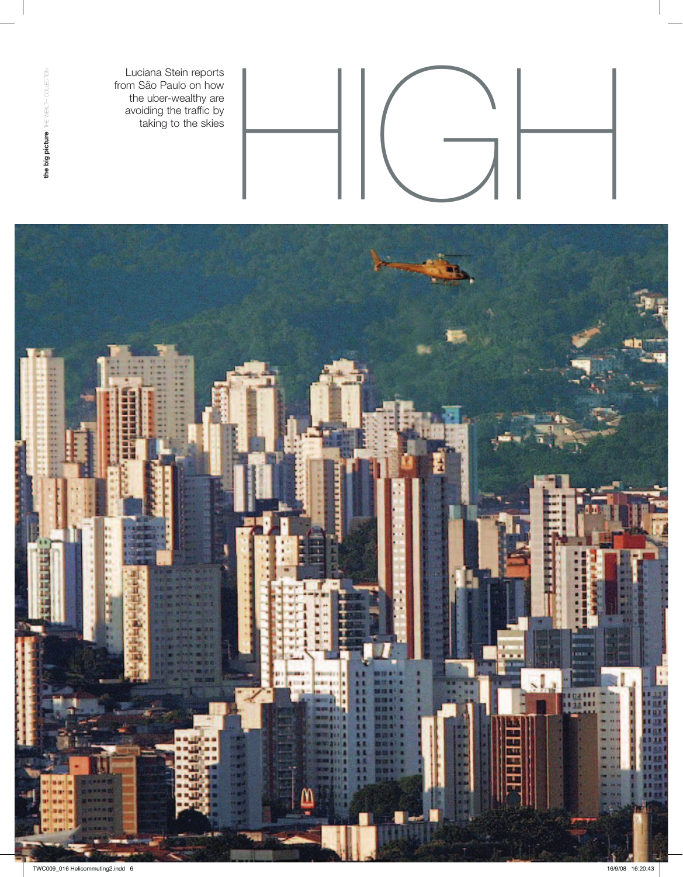from São Paulo on how the uber-wealthy are avoiding the traffic by taking to the skies